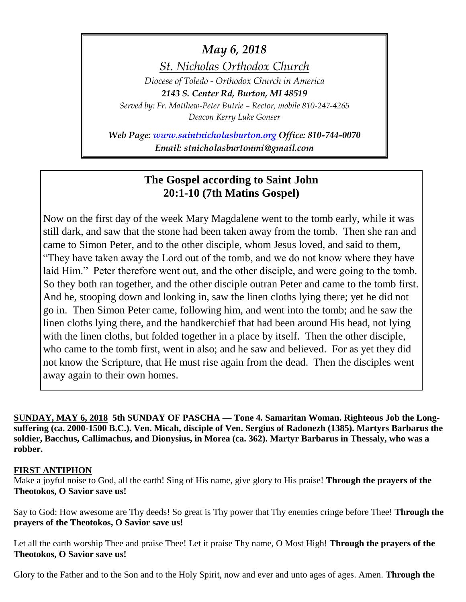## *May 6, 2018*

*St. Nicholas Orthodox Church*

*Diocese of Toledo - Orthodox Church in America 2143 S. Center Rd, Burton, MI 48519 Served by: Fr. Matthew-Peter Butrie – Rector, mobile 810-247-4265 Deacon Kerry Luke Gonser*

*Web Page: [www.saintnicholasburton.org](http://www.saintnicholasburton.org/) Office: 810-744-0070 Email: stnicholasburtonmi@gmail.com*

## **The Gospel according to Saint John 20:1-10 (7th Matins Gospel)**

Now on the first day of the week Mary Magdalene went to the tomb early, while it was still dark, and saw that the stone had been taken away from the tomb. Then she ran and came to Simon Peter, and to the other disciple, whom Jesus loved, and said to them, "They have taken away the Lord out of the tomb, and we do not know where they have laid Him." Peter therefore went out, and the other disciple, and were going to the tomb. So they both ran together, and the other disciple outran Peter and came to the tomb first. And he, stooping down and looking in, saw the linen cloths lying there; yet he did not go in. Then Simon Peter came, following him, and went into the tomb; and he saw the linen cloths lying there, and the handkerchief that had been around His head, not lying with the linen cloths, but folded together in a place by itself. Then the other disciple, who came to the tomb first, went in also; and he saw and believed. For as yet they did not know the Scripture, that He must rise again from the dead. Then the disciples went away again to their own homes.

**SUNDAY, MAY 6, 2018 5th SUNDAY OF PASCHA — Tone 4. Samaritan Woman. Righteous Job the Longsuffering (ca. 2000-1500 B.C.). Ven. Micah, disciple of Ven. Sergius of Radonezh (1385). Martyrs Barbarus the soldier, Bacchus, Callimachus, and Dionysius, in Morea (ca. 362). Martyr Barbarus in Thessaly, who was a robber.** 

## **FIRST ANTIPHON**

Make a joyful noise to God, all the earth! Sing of His name, give glory to His praise! **Through the prayers of the Theotokos, O Savior save us!**

Say to God: How awesome are Thy deeds! So great is Thy power that Thy enemies cringe before Thee! **Through the prayers of the Theotokos, O Savior save us!**

Let all the earth worship Thee and praise Thee! Let it praise Thy name, O Most High! **Through the prayers of the Theotokos, O Savior save us!**

Glory to the Father and to the Son and to the Holy Spirit, now and ever and unto ages of ages. Amen. **Through the**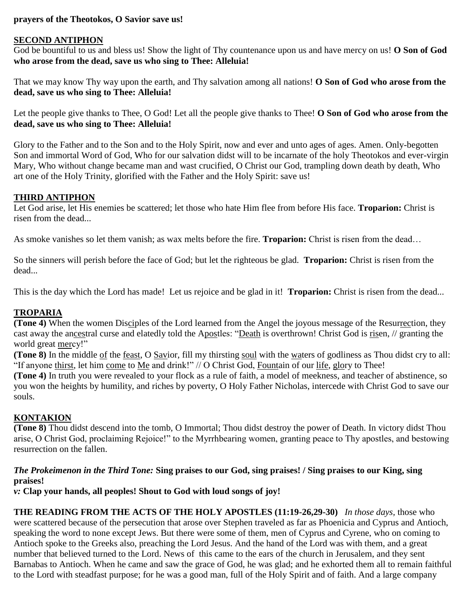## **prayers of the Theotokos, O Savior save us!**

#### **SECOND ANTIPHON**

God be bountiful to us and bless us! Show the light of Thy countenance upon us and have mercy on us! **O Son of God who arose from the dead, save us who sing to Thee: Alleluia!**

That we may know Thy way upon the earth, and Thy salvation among all nations! **O Son of God who arose from the dead, save us who sing to Thee: Alleluia!**

Let the people give thanks to Thee, O God! Let all the people give thanks to Thee! **O Son of God who arose from the dead, save us who sing to Thee: Alleluia!**

Glory to the Father and to the Son and to the Holy Spirit, now and ever and unto ages of ages. Amen. Only-begotten Son and immortal Word of God, Who for our salvation didst will to be incarnate of the holy Theotokos and ever-virgin Mary, Who without change became man and wast crucified, O Christ our God, trampling down death by death, Who art one of the Holy Trinity, glorified with the Father and the Holy Spirit: save us!

## **THIRD ANTIPHON**

Let God arise, let His enemies be scattered; let those who hate Him flee from before His face. **Troparion:** Christ is risen from the dead...

As smoke vanishes so let them vanish; as wax melts before the fire. **Troparion:** Christ is risen from the dead…

So the sinners will perish before the face of God; but let the righteous be glad. **Troparion:** Christ is risen from the dead...

This is the day which the Lord has made! Let us rejoice and be glad in it! **Troparion:** Christ is risen from the dead...

## **TROPARIA**

**(Tone 4)** When the women Disciples of the Lord learned from the Angel the joyous message of the Resurrection, they cast away the ancestral curse and elatedly told the Apostles: "Death is overthrown! Christ God is risen, // granting the world great mercy!"

**(Tone 8)** In the middle of the feast, O Savior, fill my thirsting soul with the waters of godliness as Thou didst cry to all: "If anyone thirst, let him come to Me and drink!" // O Christ God, Fountain of our life, glory to Thee!

**(Tone 4)** In truth you were revealed to your flock as a rule of faith, a model of meekness, and teacher of abstinence, so you won the heights by humility, and riches by poverty, O Holy Father Nicholas, intercede with Christ God to save our souls.

## **KONTAKION**

**(Tone 8)** Thou didst descend into the tomb, O Immortal; Thou didst destroy the power of Death. In victory didst Thou arise, O Christ God, proclaiming Rejoice!" to the Myrrhbearing women, granting peace to Thy apostles, and bestowing resurrection on the fallen.

#### *The Prokeimenon in the Third Tone:* **Sing praises to our God, sing praises! / Sing praises to our King, sing praises!**

*v:* **Clap your hands, all peoples! Shout to God with loud songs of joy!**

**THE READING FROM THE ACTS OF THE HOLY APOSTLES (11:19-26,29-30)** *In those days,* those who were scattered because of the persecution that arose over Stephen traveled as far as Phoenicia and Cyprus and Antioch, speaking the word to none except Jews. But there were some of them, men of Cyprus and Cyrene, who on coming to Antioch spoke to the Greeks also, preaching the Lord Jesus. And the hand of the Lord was with them, and a great number that believed turned to the Lord. News of this came to the ears of the church in Jerusalem, and they sent Barnabas to Antioch. When he came and saw the grace of God, he was glad; and he exhorted them all to remain faithful to the Lord with steadfast purpose; for he was a good man, full of the Holy Spirit and of faith. And a large company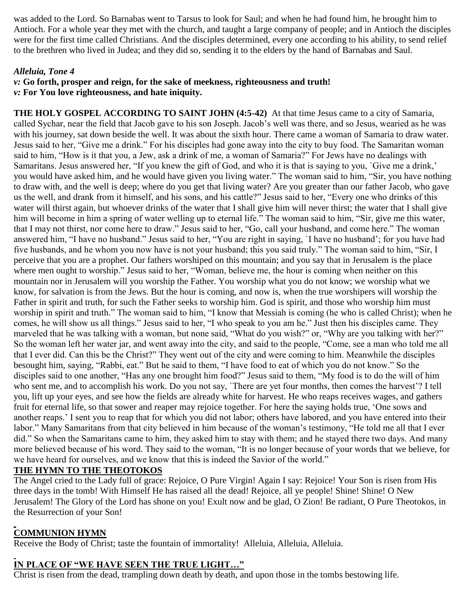was added to the Lord. So Barnabas went to Tarsus to look for Saul; and when he had found him, he brought him to Antioch. For a whole year they met with the church, and taught a large company of people; and in Antioch the disciples were for the first time called Christians. And the disciples determined, every one according to his ability, to send relief to the brethren who lived in Judea; and they did so, sending it to the elders by the hand of Barnabas and Saul.

## *Alleluia, Tone 4*

## *v:* **Go forth, prosper and reign, for the sake of meekness, righteousness and truth!** *v:* **For You love righteousness, and hate iniquity.**

**THE HOLY GOSPEL ACCORDING TO SAINT JOHN (4:5-42)** At that time Jesus came to a city of Samaria, called Sychar, near the field that Jacob gave to his son Joseph. Jacob's well was there, and so Jesus, wearied as he was with his journey, sat down beside the well. It was about the sixth hour. There came a woman of Samaria to draw water. Jesus said to her, "Give me a drink." For his disciples had gone away into the city to buy food. The Samaritan woman said to him, "How is it that you, a Jew, ask a drink of me, a woman of Samaria?" For Jews have no dealings with Samaritans. Jesus answered her, "If you knew the gift of God, and who it is that is saying to you, `Give me a drink,' you would have asked him, and he would have given you living water." The woman said to him, "Sir, you have nothing to draw with, and the well is deep; where do you get that living water? Are you greater than our father Jacob, who gave us the well, and drank from it himself, and his sons, and his cattle?" Jesus said to her, "Every one who drinks of this water will thirst again, but whoever drinks of the water that I shall give him will never thirst; the water that I shall give him will become in him a spring of water welling up to eternal life." The woman said to him, "Sir, give me this water, that I may not thirst, nor come here to draw." Jesus said to her, "Go, call your husband, and come here." The woman answered him, "I have no husband." Jesus said to her, "You are right in saying, `I have no husband'; for you have had five husbands, and he whom you now have is not your husband; this you said truly." The woman said to him, "Sir, I perceive that you are a prophet. Our fathers worshiped on this mountain; and you say that in Jerusalem is the place where men ought to worship." Jesus said to her, "Woman, believe me, the hour is coming when neither on this mountain nor in Jerusalem will you worship the Father. You worship what you do not know; we worship what we know, for salvation is from the Jews. But the hour is coming, and now is, when the true worshipers will worship the Father in spirit and truth, for such the Father seeks to worship him. God is spirit, and those who worship him must worship in spirit and truth." The woman said to him, "I know that Messiah is coming (he who is called Christ); when he comes, he will show us all things." Jesus said to her, "I who speak to you am he." Just then his disciples came. They marveled that he was talking with a woman, but none said, "What do you wish?" or, "Why are you talking with her?" So the woman left her water jar, and went away into the city, and said to the people, "Come, see a man who told me all that I ever did. Can this be the Christ?" They went out of the city and were coming to him. Meanwhile the disciples besought him, saying, "Rabbi, eat." But he said to them, "I have food to eat of which you do not know." So the disciples said to one another, "Has any one brought him food?" Jesus said to them, "My food is to do the will of him who sent me, and to accomplish his work. Do you not say, `There are yet four months, then comes the harvest'? I tell you, lift up your eyes, and see how the fields are already white for harvest. He who reaps receives wages, and gathers fruit for eternal life, so that sower and reaper may rejoice together. For here the saying holds true, 'One sows and another reaps.' I sent you to reap that for which you did not labor; others have labored, and you have entered into their labor." Many Samaritans from that city believed in him because of the woman's testimony, "He told me all that I ever did." So when the Samaritans came to him, they asked him to stay with them; and he stayed there two days. And many more believed because of his word. They said to the woman, "It is no longer because of your words that we believe, for we have heard for ourselves, and we know that this is indeed the Savior of the world."

## **THE HYMN TO THE THEOTOKOS**

The Angel cried to the Lady full of grace: Rejoice, O Pure Virgin! Again I say: Rejoice! Your Son is risen from His three days in the tomb! With Himself He has raised all the dead! Rejoice, all ye people! Shine! Shine! O New Jerusalem! The Glory of the Lord has shone on you! Exult now and be glad, O Zion! Be radiant, O Pure Theotokos, in the Resurrection of your Son!

## **COMMUNION HYMN**

Receive the Body of Christ; taste the fountain of immortality! Alleluia, Alleluia, Alleluia.

## **IN PLACE OF "WE HAVE SEEN THE TRUE LIGHT…"**

Christ is risen from the dead, trampling down death by death, and upon those in the tombs bestowing life.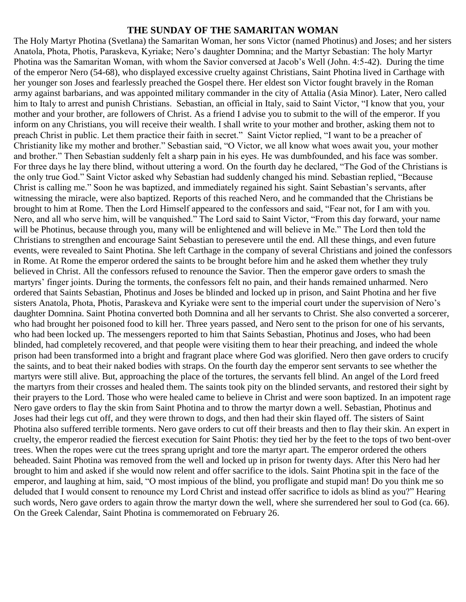#### **THE SUNDAY OF THE SAMARITAN WOMAN**

The Holy Martyr Photina (Svetlana) the Samaritan Woman, her sons Victor (named Photinus) and Joses; and her sisters Anatola, Phota, Photis, Paraskeva, Kyriake; Nero's daughter Domnina; and the Martyr Sebastian: The holy Martyr Photina was the Samaritan Woman, with whom the Savior conversed at Jacob's Well (John. 4:5-42). During the time of the emperor Nero (54-68), who displayed excessive cruelty against Christians, Saint Photina lived in Carthage with her younger son Joses and fearlessly preached the Gospel there. Her eldest son Victor fought bravely in the Roman army against barbarians, and was appointed military commander in the city of Attalia (Asia Minor). Later, Nero called him to Italy to arrest and punish Christians. Sebastian, an official in Italy, said to Saint Victor, "I know that you, your mother and your brother, are followers of Christ. As a friend I advise you to submit to the will of the emperor. If you inform on any Christians, you will receive their wealth. I shall write to your mother and brother, asking them not to preach Christ in public. Let them practice their faith in secret." Saint Victor replied, "I want to be a preacher of Christianity like my mother and brother." Sebastian said, "O Victor, we all know what woes await you, your mother and brother." Then Sebastian suddenly felt a sharp pain in his eyes. He was dumbfounded, and his face was somber. For three days he lay there blind, without uttering a word. On the fourth day he declared, "The God of the Christians is the only true God." Saint Victor asked why Sebastian had suddenly changed his mind. Sebastian replied, "Because Christ is calling me." Soon he was baptized, and immediately regained his sight. Saint Sebastian's servants, after witnessing the miracle, were also baptized. Reports of this reached Nero, and he commanded that the Christians be brought to him at Rome. Then the Lord Himself appeared to the confessors and said, "Fear not, for I am with you. Nero, and all who serve him, will be vanquished." The Lord said to Saint Victor, "From this day forward, your name will be Photinus, because through you, many will be enlightened and will believe in Me." The Lord then told the Christians to strengthen and encourage Saint Sebastian to peresevere until the end. All these things, and even future events, were revealed to Saint Photina. She left Carthage in the company of several Christians and joined the confessors in Rome. At Rome the emperor ordered the saints to be brought before him and he asked them whether they truly believed in Christ. All the confessors refused to renounce the Savior. Then the emperor gave orders to smash the martyrs' finger joints. During the torments, the confessors felt no pain, and their hands remained unharmed. Nero ordered that Saints Sebastian, Photinus and Joses be blinded and locked up in prison, and Saint Photina and her five sisters Anatola, Phota, Photis, Paraskeva and Kyriake were sent to the imperial court under the supervision of Nero's daughter Domnina. Saint Photina converted both Domnina and all her servants to Christ. She also converted a sorcerer, who had brought her poisoned food to kill her. Three years passed, and Nero sent to the prison for one of his servants, who had been locked up. The messengers reported to him that Saints Sebastian, Photinus and Joses, who had been blinded, had completely recovered, and that people were visiting them to hear their preaching, and indeed the whole prison had been transformed into a bright and fragrant place where God was glorified. Nero then gave orders to crucify the saints, and to beat their naked bodies with straps. On the fourth day the emperor sent servants to see whether the martyrs were still alive. But, approaching the place of the tortures, the servants fell blind. An angel of the Lord freed the martyrs from their crosses and healed them. The saints took pity on the blinded servants, and restored their sight by their prayers to the Lord. Those who were healed came to believe in Christ and were soon baptized. In an impotent rage Nero gave orders to flay the skin from Saint Photina and to throw the martyr down a well. Sebastian, Photinus and Joses had their legs cut off, and they were thrown to dogs, and then had their skin flayed off. The sisters of Saint Photina also suffered terrible torments. Nero gave orders to cut off their breasts and then to flay their skin. An expert in cruelty, the emperor readied the fiercest execution for Saint Photis: they tied her by the feet to the tops of two bent-over trees. When the ropes were cut the trees sprang upright and tore the martyr apart. The emperor ordered the others beheaded. Saint Photina was removed from the well and locked up in prison for twenty days. After this Nero had her brought to him and asked if she would now relent and offer sacrifice to the idols. Saint Photina spit in the face of the emperor, and laughing at him, said, "O most impious of the blind, you profligate and stupid man! Do you think me so deluded that I would consent to renounce my Lord Christ and instead offer sacrifice to idols as blind as you?" Hearing such words, Nero gave orders to again throw the martyr down the well, where she surrendered her soul to God (ca. 66). On the Greek Calendar, Saint Photina is commemorated on February 26.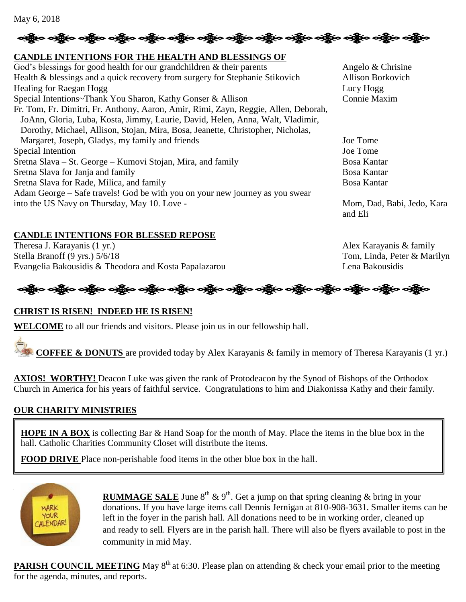# လုပ္သို့ေ လုပ္သို့ေ လုပ္သို့ေ လုပ္သို့ေလ့ပ္သို့ေလ့ပ္သို့ေလ့ပ္သို့ေလ့ပ္သို့ေလ့ပ္သို့ေလ့ပ္သို့ေလ့ပ္သို့ေလ့ပ္သို့

## **CANDLE INTENTIONS FOR THE HEALTH AND BLESSINGS OF**

God's blessings for good health for our grandchildren  $\&$  their parents Angelo  $\&$  Chrisine Health & blessings and a quick recovery from surgery for Stephanie Stikovich Allison Borkovich Healing for Raegan Hogg Lucy Hogg Lucy Hogg Lucy Hogg Lucy Hogg Lucy Hogg Lucy Hogg Lucy Hogg Lucy Hogg Lucy Hogg Lucy Hogg Lucy Hogg Lucy Hogg Lucy Hogg Lucy Hogg Lucy Hogg Lucy Hogg Lucy Hogg Lucy Hogg Lucy Hogg Lucy Hog Special Intentions~Thank You Sharon, Kathy Gonser & Allison Connie Maxim Fr. Tom, Fr. Dimitri, Fr. Anthony, Aaron, Amir, Rimi, Zayn, Reggie, Allen, Deborah, JoAnn, Gloria, Luba, Kosta, Jimmy, Laurie, David, Helen, Anna, Walt, Vladimir, Dorothy, Michael, Allison, Stojan, Mira, Bosa, Jeanette, Christopher, Nicholas, Margaret, Joseph, Gladys, my family and friends Joe Tome Special Intention Joe Tome Sretna Slava – St. George – Kumovi Stojan, Mira, and family Bosa Kantar Sretna Slava for Janja and family Bosa Kantar Sretna Slava for Rade, Milica, and family Bosa Kantar Bosa Kantar Adam George – Safe travels! God be with you on your new journey as you swear into the US Navy on Thursday, May 10. Love - Mom, Dad, Babi, Jedo, Kara

## **CANDLE INTENTIONS FOR BLESSED REPOSE**

Theresa J. Karayanis (1 yr.) Alex Karayanis & family Stella Branoff (9 yrs.)  $5/6/18$  Tom, Linda, Peter & Marilyn Evangelia Bakousidis & Theodora and Kosta Papalazarou Lena Bakousidis Lena Bakousidis

and Eli



## **CHRIST IS RISEN! INDEED HE IS RISEN!**

**WELCOME** to all our friends and visitors. Please join us in our fellowship hall.

**COFFEE & DONUTS** are provided today by Alex Karayanis & family in memory of Theresa Karayanis (1 yr.)

**AXIOS! WORTHY!** Deacon Luke was given the rank of Protodeacon by the Synod of Bishops of the Orthodox Church in America for his years of faithful service. Congratulations to him and Diakonissa Kathy and their family.

## **OUR CHARITY MINISTRIES**

**HOPE IN A BOX** is collecting Bar & Hand Soap for the month of May. Place the items in the blue box in the hall. Catholic Charities Community Closet will distribute the items.

**FOOD DRIVE** Place non-perishable food items in the other blue box in the hall.



**RUMMAGE SALE** June  $8^{th}$  &  $9^{th}$ . Get a jump on that spring cleaning & bring in your donations. If you have large items call Dennis Jernigan at 810-908-3631. Smaller items can be left in the foyer in the parish hall. All donations need to be in working order, cleaned up and ready to sell. Flyers are in the parish hall. There will also be flyers available to post in the community in mid May.

**PARISH COUNCIL MEETING** May  $8<sup>th</sup>$  at 6:30. Please plan on attending & check your email prior to the meeting for the agenda, minutes, and reports.